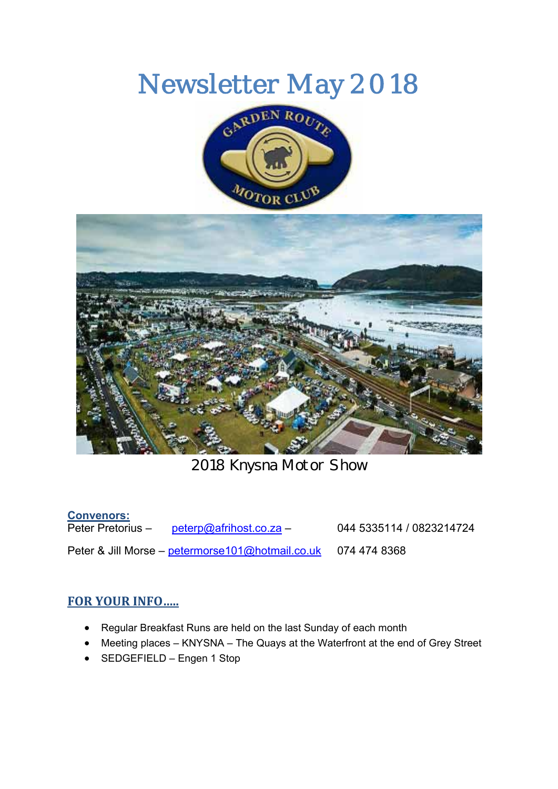# Newsletter May 2018





2018 Knysna Motor Show

### **Convenors:**

 $peterp@afrihost.co.za$  – 044 5335114 / 0823214724 Peter & Jill Morse – petermorse101@hotmail.co.uk 074 474 8368

### **FOR YOUR INFO…..**

- Regular Breakfast Runs are held on the last Sunday of each month
- Meeting places KNYSNA The Quays at the Waterfront at the end of Grey Street
- SEDGEFIELD Engen 1 Stop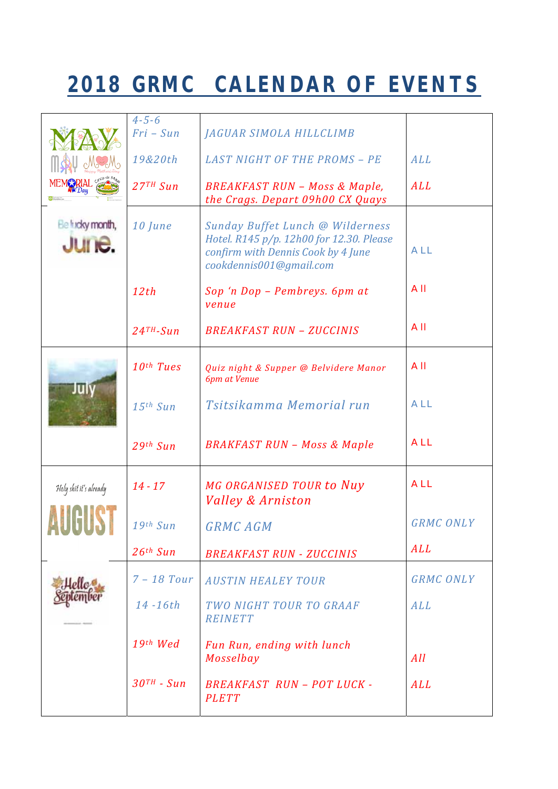## **2018 GRMC CALENDAR OF EVENTS**

|                           | $4 - 5 - 6$<br>$Fri-Sun$  | JAGUAR SIMOLA HILLCLIMB                                                                                                                       |                  |
|---------------------------|---------------------------|-----------------------------------------------------------------------------------------------------------------------------------------------|------------------|
|                           | 19&20th                   | <b>LAST NIGHT OF THE PROMS - PE</b>                                                                                                           | ALL              |
|                           | $27TH$ Sun                | <b>BREAKFAST RUN - Moss &amp; Maple,</b><br>the Crags. Depart 09h00 CX Quays                                                                  | ALL              |
| Ele fucky month,<br>June. | 10 June                   | Sunday Buffet Lunch @ Wilderness<br>Hotel. R145 p/p. 12h00 for 12.30. Please<br>confirm with Dennis Cook by 4 June<br>cookdennis001@gmail.com | ALL              |
|                           | 12th                      | Sop 'n Dop - Pembreys. 6pm at<br>venue                                                                                                        | All              |
|                           | $24$ <sup>TH</sup> -Sun   | <b>BREAKFAST RUN - ZUCCINIS</b>                                                                                                               | All              |
| luiv                      | 10th Tues                 | Quiz night & Supper @ Belvidere Manor<br>6pm at Venue                                                                                         | AII              |
|                           | $15$ <sup>th</sup> Sun    | Tsitsikamma Memorial run                                                                                                                      | ALL              |
|                           | 29th Sun                  | <b>BRAKFAST RUN - Moss &amp; Maple</b>                                                                                                        | ALL              |
| Holy shit it's already    | $14 - 17$                 | MG ORGANISED TOUR to Nuy<br><b>Valley &amp; Arniston</b>                                                                                      | ALL              |
|                           | 19th Sun                  | <b>GRMC AGM</b>                                                                                                                               | <b>GRMC ONLY</b> |
|                           | 26 <sup>th</sup> Sun      | <b>BREAKFAST RUN - ZUCCINIS</b>                                                                                                               | ALL              |
|                           | $7 - 18$ Tour             | <b>AUSTIN HEALEY TOUR</b>                                                                                                                     | <b>GRMC ONLY</b> |
|                           | 14-16th                   | TWO NIGHT TOUR TO GRAAF<br><b>REINETT</b>                                                                                                     | ALL              |
|                           | 19th Wed                  | Fun Run, ending with lunch<br>Mosselbay                                                                                                       | All              |
|                           | $.30$ <sup>TH</sup> - Sun | <b>BREAKFAST RUN - POT LUCK -</b><br><b>PLETT</b>                                                                                             | ALL              |
|                           |                           |                                                                                                                                               |                  |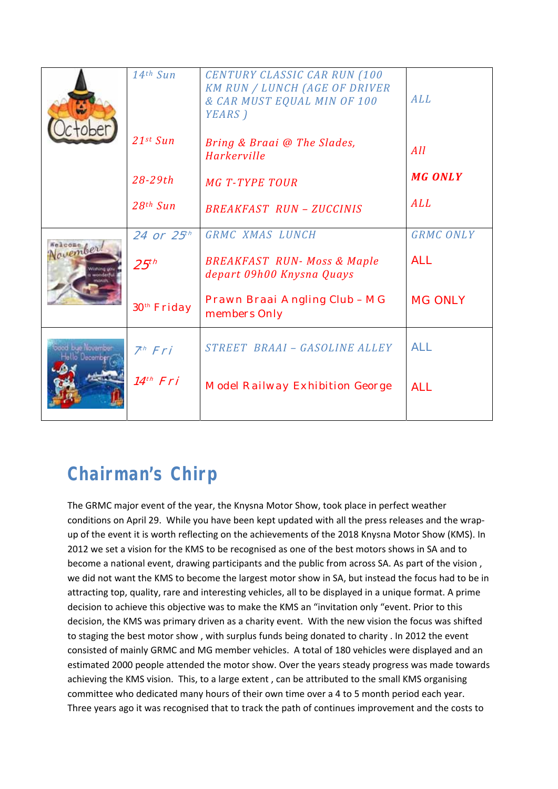|         | 14th Sun                | <b>CENTURY CLASSIC CAR RUN (100</b><br><b>KM RUN / LUNCH (AGE OF DRIVER</b><br>& CAR MUST EQUAL MIN OF 100<br>YEARS) | ALL              |
|---------|-------------------------|----------------------------------------------------------------------------------------------------------------------|------------------|
|         | $21st$ Sun              | Bring & Braai @ The Slades,<br>Harkerville                                                                           | All              |
|         | $28 - 29th$             | <b>MG T-TYPE TOUR</b>                                                                                                | <b>MG ONLY</b>   |
|         | $28th$ Sun              | <b>BREAKFAST RUN - ZUCCINIS</b>                                                                                      | ALL              |
| wember! | 24 or 25 <sup>th</sup>  | GRMC XMAS LUNCH                                                                                                      | <b>GRMC ONLY</b> |
|         | 25 <sup>th</sup>        | <b>BREAKFAST RUN- Moss &amp; Maple</b><br>depart 09h00 Knysna Quays                                                  | <b>ALL</b>       |
|         | 30 <sup>th</sup> Friday | Prawn Braai Angling Club - MG<br>members Only                                                                        | <b>MG ONLY</b>   |
|         | 7 <sup>th</sup> Fri     | STREET BRAAI - GASOLINE ALLEY                                                                                        | <b>ALL</b>       |
|         | 14 <sup>th</sup> Fri    | <b>Model Railway Exhibition George</b>                                                                               | <b>ALL</b>       |
|         |                         |                                                                                                                      |                  |

### **Chairman's Chirp**

The GRMC major event of the year, the Knysna Motor Show, took place in perfect weather conditions on April 29. While you have been kept updated with all the press releases and the wrapup of the event it is worth reflecting on the achievements of the 2018 Knysna Motor Show (KMS). In 2012 we set a vision for the KMS to be recognised as one of the best motors shows in SA and to become a national event, drawing participants and the public from across SA. As part of the vision , we did not want the KMS to become the largest motor show in SA, but instead the focus had to be in attracting top, quality, rare and interesting vehicles, all to be displayed in a unique format. A prime decision to achieve this objective was to make the KMS an "invitation only "event. Prior to this decision, the KMS was primary driven as a charity event. With the new vision the focus was shifted to staging the best motor show , with surplus funds being donated to charity . In 2012 the event consisted of mainly GRMC and MG member vehicles. A total of 180 vehicles were displayed and an estimated 2000 people attended the motor show. Over the years steady progress was made towards achieving the KMS vision. This, to a large extent , can be attributed to the small KMS organising committee who dedicated many hours of their own time over a 4 to 5 month period each year. Three years ago it was recognised that to track the path of continues improvement and the costs to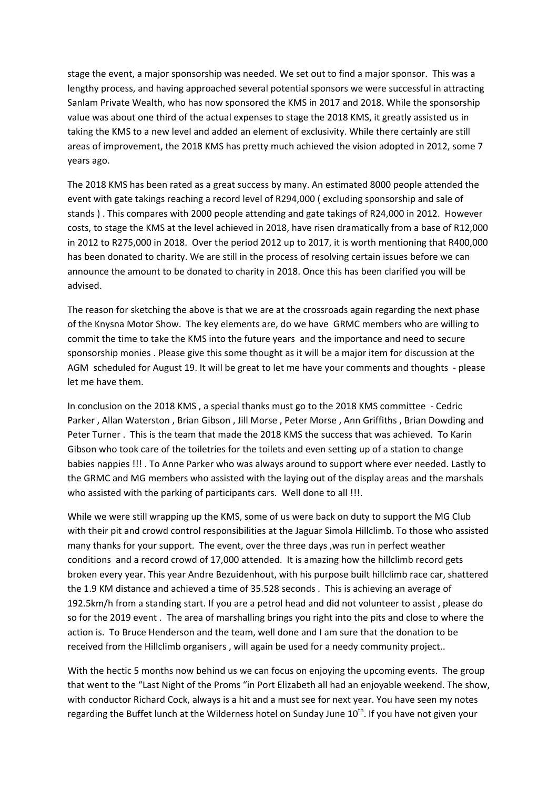stage the event, a major sponsorship was needed. We set out to find a major sponsor. This was a lengthy process, and having approached several potential sponsors we were successful in attracting Sanlam Private Wealth, who has now sponsored the KMS in 2017 and 2018. While the sponsorship value was about one third of the actual expenses to stage the 2018 KMS, it greatly assisted us in taking the KMS to a new level and added an element of exclusivity. While there certainly are still areas of improvement, the 2018 KMS has pretty much achieved the vision adopted in 2012, some 7 years ago.

The 2018 KMS has been rated as a great success by many. An estimated 8000 people attended the event with gate takings reaching a record level of R294,000 ( excluding sponsorship and sale of stands ) . This compares with 2000 people attending and gate takings of R24,000 in 2012. However costs, to stage the KMS at the level achieved in 2018, have risen dramatically from a base of R12,000 in 2012 to R275,000 in 2018. Over the period 2012 up to 2017, it is worth mentioning that R400,000 has been donated to charity. We are still in the process of resolving certain issues before we can announce the amount to be donated to charity in 2018. Once this has been clarified you will be advised.

The reason for sketching the above is that we are at the crossroads again regarding the next phase of the Knysna Motor Show. The key elements are, do we have GRMC members who are willing to commit the time to take the KMS into the future years and the importance and need to secure sponsorship monies . Please give this some thought as it will be a major item for discussion at the AGM scheduled for August 19. It will be great to let me have your comments and thoughts ‐ please let me have them.

In conclusion on the 2018 KMS , a special thanks must go to the 2018 KMS committee ‐ Cedric Parker , Allan Waterston , Brian Gibson , Jill Morse , Peter Morse , Ann Griffiths , Brian Dowding and Peter Turner . This is the team that made the 2018 KMS the success that was achieved. To Karin Gibson who took care of the toiletries for the toilets and even setting up of a station to change babies nappies !!! . To Anne Parker who was always around to support where ever needed. Lastly to the GRMC and MG members who assisted with the laying out of the display areas and the marshals who assisted with the parking of participants cars. Well done to all !!!.

While we were still wrapping up the KMS, some of us were back on duty to support the MG Club with their pit and crowd control responsibilities at the Jaguar Simola Hillclimb. To those who assisted many thanks for your support. The event, over the three days ,was run in perfect weather conditions and a record crowd of 17,000 attended. It is amazing how the hillclimb record gets broken every year. This year Andre Bezuidenhout, with his purpose built hillclimb race car, shattered the 1.9 KM distance and achieved a time of 35.528 seconds . This is achieving an average of 192.5km/h from a standing start. If you are a petrol head and did not volunteer to assist , please do so for the 2019 event . The area of marshalling brings you right into the pits and close to where the action is. To Bruce Henderson and the team, well done and I am sure that the donation to be received from the Hillclimb organisers , will again be used for a needy community project..

With the hectic 5 months now behind us we can focus on enjoying the upcoming events. The group that went to the "Last Night of the Proms "in Port Elizabeth all had an enjoyable weekend. The show, with conductor Richard Cock, always is a hit and a must see for next year. You have seen my notes regarding the Buffet lunch at the Wilderness hotel on Sunday June 10<sup>th</sup>. If you have not given your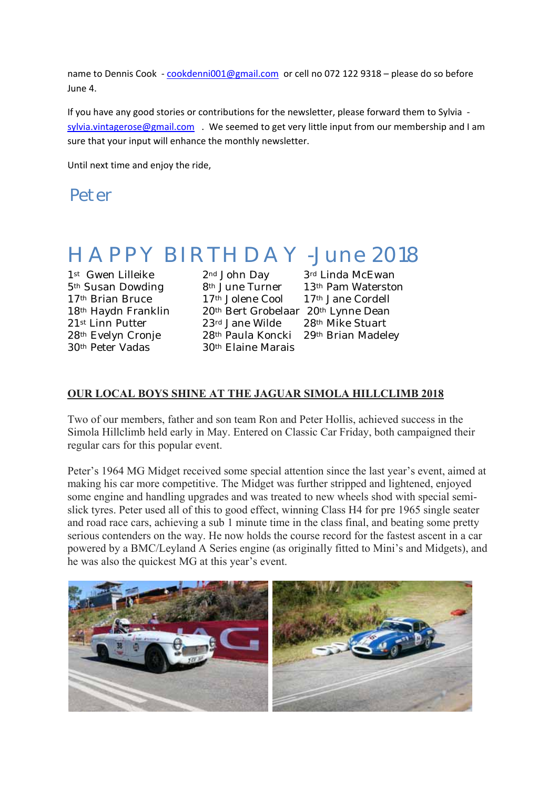name to Dennis Cook - cookdenni001@gmail.com or cell no 072 122 9318 - please do so before June 4.

If you have any good stories or contributions for the newsletter, please forward them to Sylvia ‐ sylvia.vintagerose@gmail.com . We seemed to get very little input from our membership and I am sure that your input will enhance the monthly newsletter.

Until next time and enjoy the ride,

Peter

### *HAPPY BIRTHDAY -June 2018*

30th Peter Vadas 30th Elaine Marais

1<sup>st</sup> Gwen Lilleike 2<sup>nd</sup> John Day 3<sup>rd</sup> Linda McEwan 5th Susan Dowding 8th June Turner 13th Pam Waterston 17<sup>th</sup> Brian Bruce 17<sup>th</sup> Jolene Cool 17<sup>th</sup> Jane Cordell 18<sup>th</sup> Haydn Franklin 20<sup>th</sup> Bert Grobelaar 20<sup>th</sup> Lynne Dean<br>21<sup>st</sup> Linn Putter 23<sup>rd</sup> Jane Wilde 28<sup>th</sup> Mike Stuart  $23$ <sup>rd</sup> Jane Wilde  $28$ <sup>th</sup> Mike Stuart 28th Evelyn Cronje 28th Paula Koncki 29th Brian Madeley

#### **OUR LOCAL BOYS SHINE AT THE JAGUAR SIMOLA HILLCLIMB 2018**

Two of our members, father and son team Ron and Peter Hollis, achieved success in the Simola Hillclimb held early in May. Entered on Classic Car Friday, both campaigned their regular cars for this popular event.

Peter's 1964 MG Midget received some special attention since the last year's event, aimed at making his car more competitive. The Midget was further stripped and lightened, enjoyed some engine and handling upgrades and was treated to new wheels shod with special semislick tyres. Peter used all of this to good effect, winning Class H4 for pre 1965 single seater and road race cars, achieving a sub 1 minute time in the class final, and beating some pretty serious contenders on the way. He now holds the course record for the fastest ascent in a car powered by a BMC/Leyland A Series engine (as originally fitted to Mini's and Midgets), and he was also the quickest MG at this year's event.

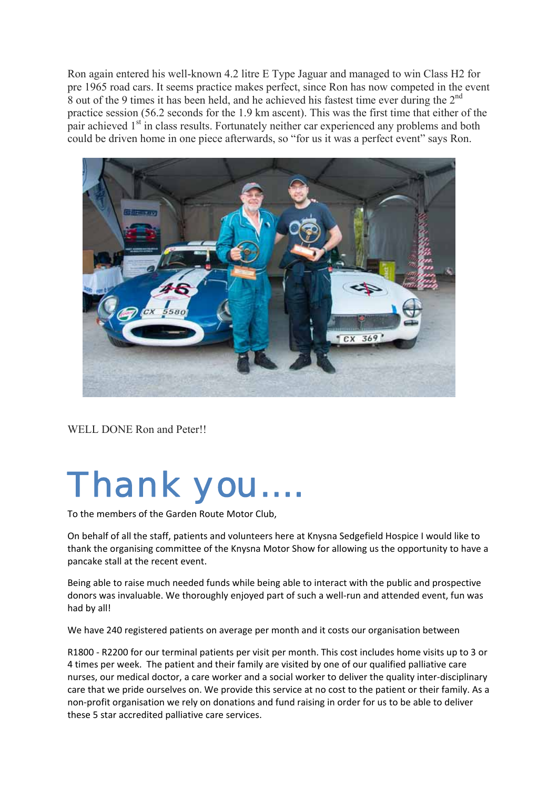Ron again entered his well-known 4.2 litre E Type Jaguar and managed to win Class H2 for pre 1965 road cars. It seems practice makes perfect, since Ron has now competed in the event 8 out of the 9 times it has been held, and he achieved his fastest time ever during the 2<sup>nd</sup> practice session (56.2 seconds for the 1.9 km ascent). This was the first time that either of the pair achieved 1<sup>st</sup> in class results. Fortunately neither car experienced any problems and both could be driven home in one piece afterwards, so "for us it was a perfect event" says Ron.



WELL DONE Ron and Peter!!

# *Thank you….*

To the members of the Garden Route Motor Club,

On behalf of all the staff, patients and volunteers here at Knysna Sedgefield Hospice I would like to thank the organising committee of the Knysna Motor Show for allowing us the opportunity to have a pancake stall at the recent event.

Being able to raise much needed funds while being able to interact with the public and prospective donors was invaluable. We thoroughly enjoyed part of such a well-run and attended event, fun was had by all!

We have 240 registered patients on average per month and it costs our organisation between

R1800 ‐ R2200 for our terminal patients per visit per month. This cost includes home visits up to 3 or 4 times per week. The patient and their family are visited by one of our qualified palliative care nurses, our medical doctor, a care worker and a social worker to deliver the quality inter‐disciplinary care that we pride ourselves on. We provide this service at no cost to the patient or their family. As a non‐profit organisation we rely on donations and fund raising in order for us to be able to deliver these 5 star accredited palliative care services.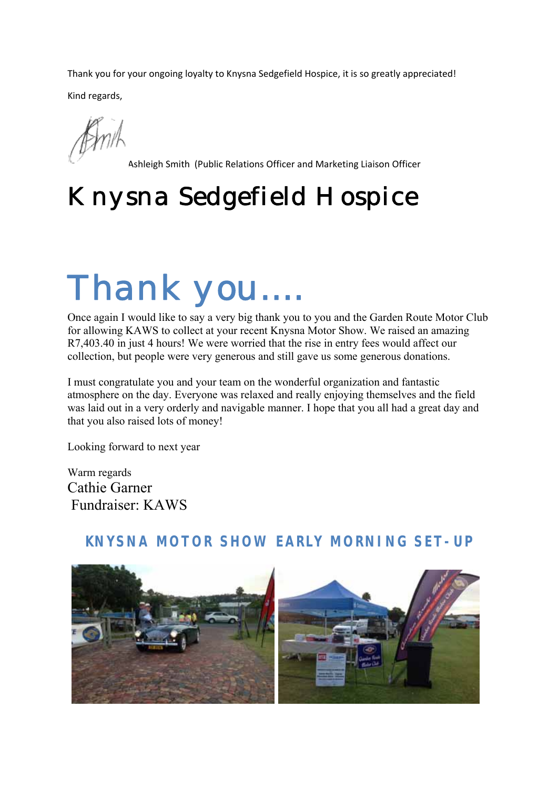Thank you for your ongoing loyalty to Knysna Sedgefield Hospice, it is so greatly appreciated! Kind regards,

Ashleigh Smith (Public Relations Officer and Marketing Liaison Officer

# *Knysna Sedgefield Hospice*

# *Thank you….*

Once again I would like to say a very big thank you to you and the Garden Route Motor Club for allowing KAWS to collect at your recent Knysna Motor Show. We raised an amazing R7,403.40 in just 4 hours! We were worried that the rise in entry fees would affect our collection, but people were very generous and still gave us some generous donations.

I must congratulate you and your team on the wonderful organization and fantastic atmosphere on the day. Everyone was relaxed and really enjoying themselves and the field was laid out in a very orderly and navigable manner. I hope that you all had a great day and that you also raised lots of money!

Looking forward to next year

Warm regards Cathie Garner Fundraiser: KAWS

#### **KNYSNA MOTOR SHOW EARLY MORNING SET-UP**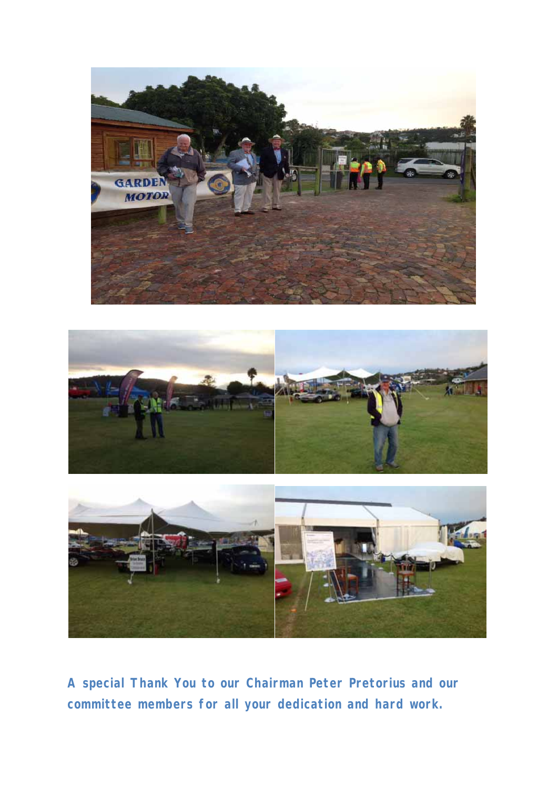





**A special Thank You to our Chairman Peter Pretorius and our committee members for all your dedication and hard work.**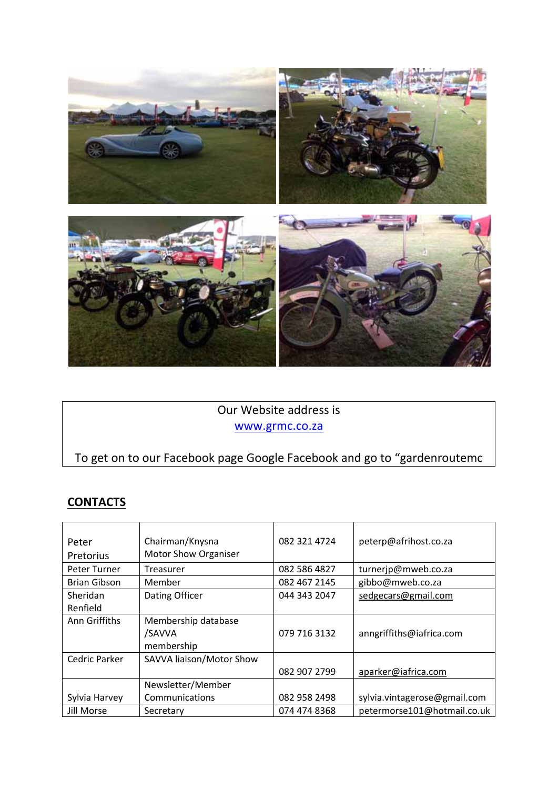

#### Our Website address is www.grmc.co.za

### To get on to our Facebook page Google Facebook and go to "gardenroutemc

#### **CONTACTS**

| Peter<br>Pretorius | Chairman/Knysna<br><b>Motor Show Organiser</b> | 082 321 4724 | peterp@afrihost.co.za        |
|--------------------|------------------------------------------------|--------------|------------------------------|
| Peter Turner       | Treasurer                                      | 082 586 4827 | turnerjp@mweb.co.za          |
| Brian Gibson       | Member                                         | 082 467 2145 | gibbo@mweb.co.za             |
| Sheridan           | Dating Officer                                 | 044 343 2047 | sedgecars@gmail.com          |
| Renfield           |                                                |              |                              |
| Ann Griffiths      | Membership database                            |              |                              |
|                    | /SAVVA                                         | 079 716 3132 | anngriffiths@iafrica.com     |
|                    | membership                                     |              |                              |
| Cedric Parker      | SAVVA liaison/Motor Show                       |              |                              |
|                    |                                                | 082 907 2799 | aparker@iafrica.com          |
|                    | Newsletter/Member                              |              |                              |
| Sylvia Harvey      | Communications                                 | 082 958 2498 | sylvia.vintagerose@gmail.com |
| Jill Morse         | Secretary                                      | 074 474 8368 | petermorse101@hotmail.co.uk  |